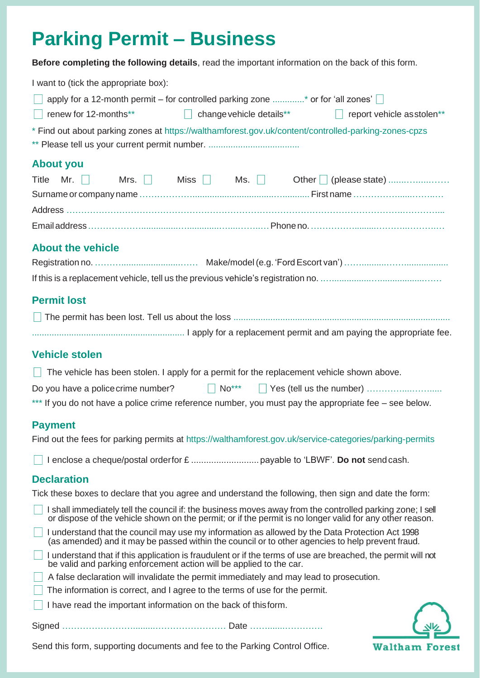# **Parking Permit – Business**

**Before completing the following details**, read the important information on the back of this form.

| I want to (tick the appropriate box):                                                                                                                                                                                 |
|-----------------------------------------------------------------------------------------------------------------------------------------------------------------------------------------------------------------------|
| apply for a 12-month permit – for controlled parking zone * or for 'all zones'                                                                                                                                        |
| renew for 12-months**<br>$\Box$ change vehicle details **<br>$\Box$ report vehicle asstolen**                                                                                                                         |
| * Find out about parking zones at https://walthamforest.gov.uk/content/controlled-parking-zones-cpzs                                                                                                                  |
| <b>About you</b>                                                                                                                                                                                                      |
| Title<br>Mr. $\vert \vert$                                                                                                                                                                                            |
|                                                                                                                                                                                                                       |
|                                                                                                                                                                                                                       |
|                                                                                                                                                                                                                       |
|                                                                                                                                                                                                                       |
| <b>About the vehicle</b>                                                                                                                                                                                              |
|                                                                                                                                                                                                                       |
|                                                                                                                                                                                                                       |
| <b>Permit lost</b>                                                                                                                                                                                                    |
|                                                                                                                                                                                                                       |
|                                                                                                                                                                                                                       |
| <b>Vehicle stolen</b>                                                                                                                                                                                                 |
|                                                                                                                                                                                                                       |
| The vehicle has been stolen. I apply for a permit for the replacement vehicle shown above.                                                                                                                            |
| $\mathsf{No}^{\star\star\star}$<br>Do you have a police crime number?<br>Н                                                                                                                                            |
| *** If you do not have a police crime reference number, you must pay the appropriate fee – see below.                                                                                                                 |
| <b>Payment</b>                                                                                                                                                                                                        |
| Find out the fees for parking permits at https://walthamforest.gov.uk/service-categories/parking-permits                                                                                                              |
|                                                                                                                                                                                                                       |
| <b>Declaration</b>                                                                                                                                                                                                    |
| Tick these boxes to declare that you agree and understand the following, then sign and date the form:                                                                                                                 |
| I shall immediately tell the council if: the business moves away from the controlled parking zone; I sell<br>or dispose of the vehicle shown on the permit; or if the permit is no longer valid for any other reason. |
| I understand that the council may use my information as allowed by the Data Protection Act 1998<br>(as amended) and it may be passed within the council or to other agencies to help prevent fraud.                   |
| I understand that if this application is fraudulent or if the terms of use are breached, the permit will not<br>be valid and parking enforcement action will be applied to the car.                                   |
| A false declaration will invalidate the permit immediately and may lead to prosecution.                                                                                                                               |
| The information is correct, and I agree to the terms of use for the permit.                                                                                                                                           |
| I have read the important information on the back of thisform.                                                                                                                                                        |
|                                                                                                                                                                                                                       |
| Send this form, supporting documents and fee to the Parking Control Office.<br><b>Waltham Forest</b>                                                                                                                  |

Send this form, supporting documents and fee to the Parking Control Office.